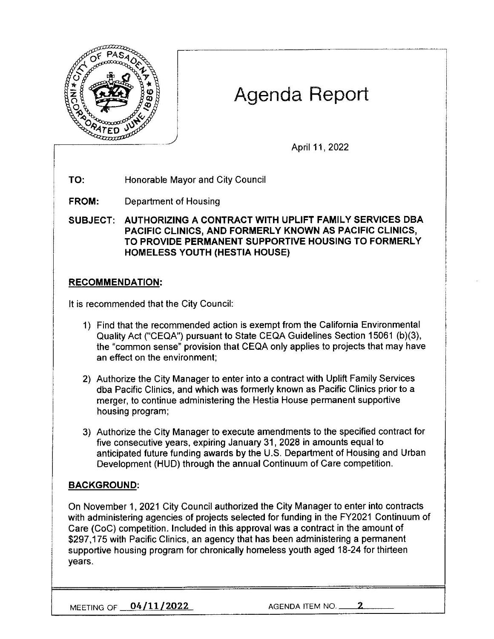

# Agenda Report

April 11, 2022

**TO:** Honorable Mayor and City Council

**FROM:** Department of Housing

**SUBJECT: AUTHORIZING A CONTRACT WITH UPLIFT FAMILY SERVICES OBA PACIFIC CLINICS, AND FORMERLY KNOWN AS PACIFIC CLINICS, TO PROVIDE PERMANENT SUPPORTIVE HOUSING TO FORMERLY HOMELESS YOUTH (HESTIA HOUSE)** 

### **RECOMMENDATION:**

It is recommended that the City Council:

- 1) Find that the recommended action is exempt from the California Environmental Quality Act ("CEQA") pursuant to State CEQA Guidelines Section 15061 (b)(3), the "common sense" provision that CEQA only applies to projects that may have an effect on the environment;
- 2) Authorize the City Manager to enter into a contract with Uplift Family Services dba Pacific Clinics, and which was formerly known as Pacific Clinics prior to a merger, to continue administering the Hestia House permanent supportive housing program;
- 3) Authorize the City Manager to execute amendments to the specified contract for five consecutive years, expiring January 31, 2028 in amounts equal to anticipated future funding awards by the U.S. Department of Housing and Urban Development (HUD) through the annual Continuum of Care competition.

## **BACKGROUND:**

On November 1, 2021 City Council authorized the City Manager to enter into contracts with administering agencies of projects selected for funding in the FY2021 Continuum of Care (CoC) competition. Included in this approval was a contract in the amount of \$297,175 with Pacific Clinics, an agency that has been administering a permanent supportive housing program for chronically homeless youth aged 18-24 for thirteen years.

**MEETING OF <u>04/11/2022</u>** AGENDA ITEM NO.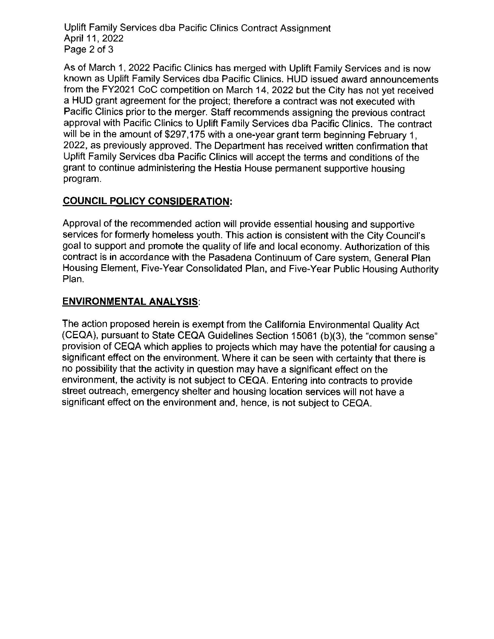Uplift Family Services dba Pacific Clinics Contract Assignment April 11 , 2022 Page 2 of 3

As of March 1, 2022 Pacific Clinics has merged with Uplift Family Services and is now known as Uplift Family Services dba Pacific Clinics. HUD issued award announcements from the FY2021 CoC competition on March 14, 2022 but the City has not yet received a HUD grant agreement for the project; therefore a contract was not executed with Pacific Clinics prior to the merger. Staff recommends assigning the previous contract approval with Pacific Clinics to Uplift Family Services dba Pacific Clinics. The contract will be in the amount of \$297,175 with a one-year grant term beginning February 1, 2022, as previously approved. The Department has received written confirmation that Uplift Family Services dba Pacific Clinics will accept the terms and conditions of the grant to continue administering the Hestia House permanent supportive housing program.

# **COUNCIL POLICY CONSIDERATION:**

Approval of the recommended action will provide essential housing and supportive services for formerly homeless youth. This action is consistent with the City Council's goal to support and promote the quality of life and local economy. Authorization of this contract is in accordance with the Pasadena Continuum of Care system, General Plan Housing Element, Five-Year Consolidated Plan, and Five-Year Public Housing Authority Plan.

## **ENVIRONMENTAL ANALYSIS:**

The action proposed herein is exempt from the California Environmental Quality Act (CEQA), pursuant to State CEQA Guidelines Section 15061 (b)(3), the "common sense" provision of CEQA which applies to projects which may have the potential for causing a significant effect on the environment. Where it can be seen with certainty that there is no possibility that the activity in question may have a significant effect on the environment, the activity is not subject to CEQA. Entering into contracts to provide street outreach, emergency shelter and housing location services will not have a significant effect on the environment and, hence, is not subject to CEQA.